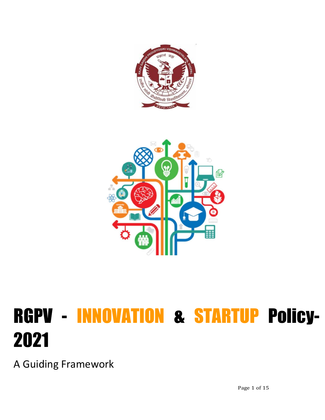



# RGPV - INNOVATION & STARTUP Policy-2021

A Guiding Framework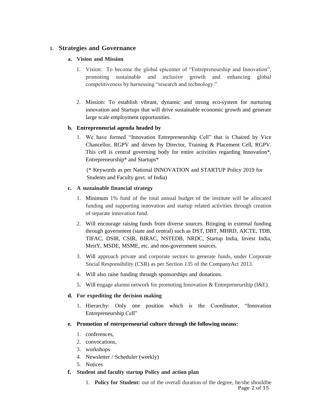## **1. Strategies and Governance**

#### **a. Vision and Mission**

- 1. Vision: To become the global epicenter of "Entrepreneurship and Innovation", promoting sustainable and inclusive growth and enhancing global competitiveness by harnessing "research and technology."
- 2. Mission: To establish vibrant, dynamic and strong eco-system for nurturing innovation and Startups that will drive sustainable economic growth and generate large scale employment opportunities.

#### **b. Entrepreneurial agenda headed by**

1. We have formed "Innovation Entrepreneurship Cell" that is Chaired by Vice Chancellor, RGPV and driven by Director, Training & Placement Cell, RGPV. This cell is central governing body for entire activities regarding Innovation\*, Entrepreneurship\* and Startups\*

(\* Keywords as per National INNOVATION and STARTUP Policy 2019 for Students and Faculty govt. of India)

#### **c. A sustainable financial strategy**

- 1. Minimum 1% fund of the total annual budget of the institute will be allocated funding and supporting innovation and startup related activities through creation of separate innovation fund.
- 2. Will encourage raising funds from diverse sources. Bringing in external funding through government (state and central) such as DST, DBT, MHRD, AICTE, TDB, TIFAC, DSIR, CSIR, BIRAC, NSTEDB, NRDC, Startup India, Invest India, MeitY, MSDE, MSME, etc. and non-government sources.
- 3. Will approach private and corporate sectors to generate funds, under Corporate Social Responsibility (CSR) as per Section 135 of the CompanyAct 2013.
- 4. Will also raise funding through sponsorships and donations.
- 5. Will engage alumni network for promoting Innovation & Entrepreneurship (I&E).

#### **d. For expediting the decision making**

1. Hierarchy: Only one position which is the Coordinator, "Innovation Entrepreneurship Cell"

#### **e. Promotion of entrepreneurial culture through the following means:**

- 1. conferences,
- 2. convocations,
- 3. workshops
- 4. Newsletter / Scheduler (weekly)
- 5. Notices

#### **f. Student and faculty startup Policy and action plan**

Page 2 of 15 1. **Policy for Student:** out of the overall duration of the degree, he/she shouldbe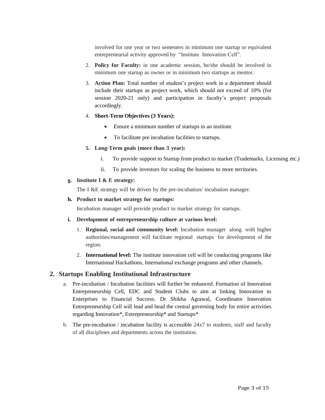involved for one year or two semesters in minimum one startup or equivalent entrepreneurial activity approved by "Institute Innovation Cell".

- 2. **Policy for Faculty:** in one academic session, he/she should be involved in minimum one startup as owner or in minimum two startups as mentor.
- 3. **Action Plan:** Total number of student's project work in a department should include their startups as project work, which should not exceed of 10% (for session 2020-21 only) and participation in faculty's project proposals accordingly.

#### 4. **Short-Term Objectives (3 Years):**

- Ensure a minimum number of startups in an institute.
- To facilitate pre incubation facilities to startups.

#### **5. Long-Term goals (more than 3 year):**

- i. To provide support to Startup from product to market (Trademarks, Licensing etc.)
- ii. To provide investors for scaling the business to more territories.

#### **g. Institute I & E strategy:**

The I &E strategy will be driven by the pre-incubation/ incubation manager.

#### **h. Product to market strategy for startups:**

Incubation manager will provide product to market strategy for startups.

#### **i. Development of entrepreneurship culture at various level:**

- 1. **Regional, social and community level:** Incubation manager along with higher authorities/management will facilitate regional startups for development of the region.
- 2. **International level:** The institute innovation cell will be conducting programs like International Hackathons, International exchange programs and other channels.

#### **2. Startups Enabling Institutional Infrastructure**

- a. Pre-incubation / Incubation facilities will further be enhanced. Formation of Innovation Entrepreneurship Cell, EDC and Student Clubs to aim at linking Innovation to Enterprises to Financial Success. Dr Shikha Agrawal, Coordinator Innovation Entrepreneurship Cell will lead and head the central governing body for entire activities regarding Innovation\*, Entrepreneurship\* and Startups\*
- b. The pre-incubation / incubation facility is accessible  $24x7$  to students, staff and faculty of all disciplines and departments across the institution.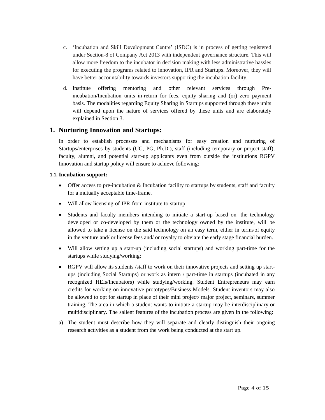- c. 'Incubation and Skill Development Centre' (ISDC) is in process of getting registered under Section-8 of Company Act 2013 with independent governance structure. This will allow more freedom to the incubator in decision making with less administrative hassles for executing the programs related to innovation, IPR and Startups. Moreover, they will have better accountability towards investors supporting the incubation facility.
- d. Institute offering mentoring and other relevant services through Preincubation/Incubation units in-return for fees, equity sharing and (or) zero payment basis. The modalities regarding Equity Sharing in Startups supported through these units will depend upon the nature of services offered by these units and are elaborately explained in Section 3.

# **1. Nurturing Innovation and Startups:**

In order to establish processes and mechanisms for easy creation and nurturing of Startups/enterprises by students (UG, PG, Ph.D.), staff (including temporary or project staff), faculty, alumni, and potential start-up applicants even from outside the institutions RGPV Innovation and startup policy will ensure to achieve following:

#### **1.1. Incubation support:**

- Offer access to pre-incubation & Incubation facility to startups by students, staff and faculty for a mutually acceptable time-frame.
- Will allow licensing of IPR from institute to startup:
- Students and faculty members intending to initiate a start-up based on the technology developed or co-developed by them or the technology owned by the institute, will be allowed to take a license on the said technology on an easy term, either in terms of equity in the venture and/ or license fees and/ or royalty to obviate the early stage financial burden.
- Will allow setting up a start-up (including social startups) and working part-time for the startups while studying/working:
- RGPV will allow its students /staff to work on their innovative projects and setting up startups (including Social Startups) or work as intern / part-time in startups (incubated in any recognized HEIs/Incubators) while studying/working. Student Entrepreneurs may earn credits for working on innovative prototypes/Business Models. Student inventors may also be allowed to opt for startup in place of their mini project/ major project, seminars, summer training. The area in which a student wants to initiate a startup may be interdisciplinary or multidisciplinary. The salient features of the incubation process are given in the following:
- a) The student must describe how they will separate and clearly distinguish their ongoing research activities as a student from the work being conducted at the start up.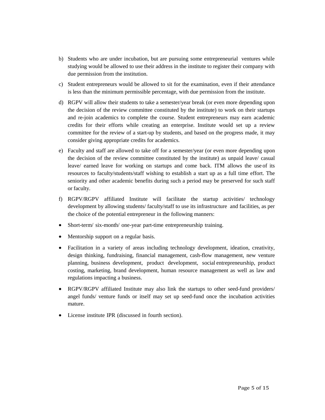- b) Students who are under incubation, but are pursuing some entrepreneurial ventures while studying would be allowed to use their address in the institute to register their company with due permission from the institution.
- c) Student entrepreneurs would be allowed to sit for the examination, even if their attendance is less than the minimum permissible percentage, with due permission from the institute.
- d) RGPV will allow their students to take a semester/year break (or even more depending upon the decision of the review committee constituted by the institute) to work on their startups and re-join academics to complete the course. Student entrepreneurs may earn academic credits for their efforts while creating an enterprise. Institute would set up a review committee for the review of a start-up by students, and based on the progress made, it may consider giving appropriate credits for academics.
- e) Faculty and staff are allowed to take off for a semester/year (or even more depending upon the decision of the review committee constituted by the institute) as unpaid leave/ casual leave/ earned leave for working on startups and come back. ITM allows the use of its resources to faculty/students/staff wishing to establish a start up as a full time effort. The seniority and other academic benefits during such a period may be preserved for such staff or faculty.
- f) RGPV/RGPV affiliated Institute will facilitate the startup activities/ technology development by allowing students/ faculty/staff to use its infrastructure and facilities, as per the choice of the potential entrepreneur in the following manners:
- Short-term/ six-month/ one-year part-time entrepreneurship training.
- Mentorship support on a regular basis.
- Facilitation in a variety of areas including technology development, ideation, creativity, design thinking, fundraising, financial management, cash-flow management, new venture planning, business development, product development, social entrepreneurship, product costing, marketing, brand development, human resource management as well as law and regulations impacting a business.
- RGPV/RGPV affiliated Institute may also link the startups to other seed-fund providers/ angel funds/ venture funds or itself may set up seed-fund once the incubation activities mature.
- License institute IPR (discussed in fourth section).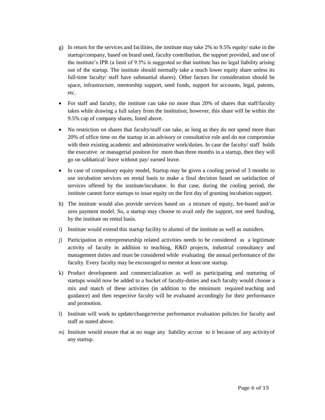- g) In return for the services and facilities, the institute may take 2% to 9.5% equity/ stake in the startup/company, based on brand used, faculty contribution, the support provided, and use of the institute's IPR (a limit of 9.5% is suggested so that institute has no legal liability arising out of the startup. The institute should normally take a much lower equity share unless its full-time faculty/ staff have substantial shares). Other factors for consideration should be space, infrastructure, mentorship support, seed funds, support for accounts, legal, patents, etc.
- For staff and faculty, the institute can take no more than 20% of shares that staff/faculty takes while drawing a full salary from the institution; however, this share will be within the 9.5% cap of company shares, listed above.
- No restriction on shares that faculty/staff can take, as long as they do not spend more than 20% of office time on the startup in an advisory or consultative role and do not compromise with their existing academic and administrative work/duties. In case the faculty/ staff holds the executive or managerial position for more than three months in a startup, then they will go on sabbatical/ leave without pay/ earned leave.
- In case of compulsory equity model, Startup may be given a cooling period of 3 months to use incubation services on rental basis to make a final decision based on satisfaction of services offered by the institute/incubator. In that case, during the cooling period, the institute cannot force startups to issue equity on the first day of granting incubation support.
- h) The institute would also provide services based on a mixture of equity, fee-based and/or zero payment model. So, a startup may choose to avail only the support, not seed funding, by the institute on rental basis.
- i) Institute would extend this startup facility to alumni of the institute as well as outsiders.
- j) Participation in entrepreneurship related activities needs to be considered as a legitimate activity of faculty in addition to teaching, R&D projects, industrial consultancy and management duties and must be considered while evaluating the annual performance of the faculty. Every faculty may be encouraged to mentor at least one startup.
- k) Product development and commercialization as well as participating and nurturing of startups would now be added to a bucket of faculty-duties and each faculty would choose a mix and match of these activities (in addition to the minimum required teaching and guidance) and then respective faculty will be evaluated accordingly for their performance and promotion.
- l) Institute will work to update/change/revise performance evaluation policies for faculty and staff as stated above.
- m) Institute would ensure that at no stage any liability accrue to it because of any activityof any startup.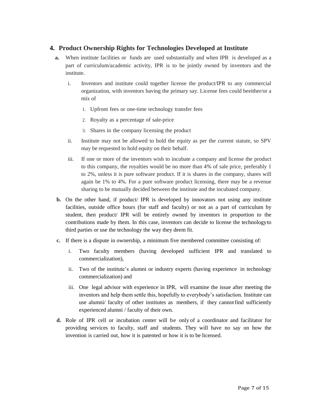# **4. Product Ownership Rights for Technologies Developed at Institute**

- **a.** When institute facilities or funds are used substantially and when IPR is developed as a part of curriculum/academic activity, IPR is to be jointly owned by inventors and the institute.
	- i. Inventors and institute could together license the product/IPR to any commercial organization, with inventors having the primary say. License fees could beeither/or a mix of
		- 1. Upfront fees or one-time technology transfer fees
		- 2. Royalty as a percentage of sale-price
		- 3. Shares in the company licensing the product
	- ii. Institute may not be allowed to hold the equity as per the current statute, so SPV may be requested to hold equity on their behalf.
	- iii. If one or more of the inventors wish to incubate a company and license the product to this company, the royalties would be no more than 4% of sale price, preferably 1 to 2%, unless it is pure software product. If it is shares in the company, shares will again be 1% to 4%. For a pure software product licensing, there may be a revenue sharing to be mutually decided between the institute and the incubated company.
- **b.** On the other hand, if product/ IPR is developed by innovators not using any institute facilities, outside office hours (for staff and faculty) or not as a part of curriculum by student, then product/ IPR will be entirely owned by inventors in proportion to the contributions made by them. In this case, inventors can decide to license the technologyto third parties or use the technology the way they deem fit.
- **c.** If there is a dispute in ownership, a minimum five membered committee consisting of:
	- i. Two faculty members (having developed sufficient IPR and translated to commercialization),
	- ii. Two of the institute's alumni or industry experts (having experience in technology commercialization) and
	- iii. One legal advisor with experience in IPR, will examine the issue after meeting the inventors and help them settle this, hopefully to everybody's satisfaction. Institute can use alumni/ faculty of other institutes as members, if they cannotfind sufficiently experienced alumni / faculty of their own.
- **d.** Role of IPR cell or incubation center will be only of a coordinator and facilitator for providing services to faculty, staff and students. They will have no say on how the invention is carried out, how it is patented or how it is to be licensed.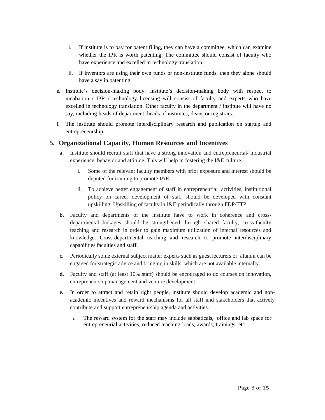- i. If institute is to pay for patent filing, they can have a committee, which can examine whether the IPR is worth patenting. The committee should consist of faculty who have experience and excelled in technology translation.
- ii. If inventors are using their own funds or non-institute funds, then they alone should have a say in patenting.
- **e.** Institute's decision-making body: Institute's decision-making body with respect to incubation / IPR / technology licensing will consist of faculty and experts who have excelled in technology translation. Other faculty in the department / institute will have no say, including heads of department, heads of institutes, deans or registrars.
- **f.** The institute should promote interdisciplinary research and publication on startup and entrepreneurship.

# **5. Organizational Capacity, Human Resources and Incentives**

- **a.** Institute should recruit staff that have a strong innovation and entrepreneurial/ industrial experience, behavior and attitude. This will help in fostering the I&E culture.
	- i. Some of the relevant faculty members with prior exposure and interest should be deputed for training to promote I&E.
	- ii. To achieve better engagement of staff in entrepreneurial activities, institutional policy on career development of staff should be developed with constant upskilling. Upskilling of faculty in I&E periodically through FDP/TTP
- **b.** Faculty and departments of the institute have to work in coherence and crossdepartmental linkages should be strengthened through shared faculty, cross-faculty teaching and research in order to gain maximum utilization of internal resources and knowledge. Cross-departmental teaching and research to promote interdisciplinary capabilities faculties and staff.
- **c.** Periodically some external subject matter experts such as guest lecturers or alumni can be engaged for strategic advice and bringing in skills, which are not available internally.
- **d.** Faculty and staff (at least 10% staff) should be encouraged to do courses on innovation, entrepreneurship management and venture development.
- **e.** In order to attract and retain right people, institute should develop academic and nonacademic incentives and reward mechanisms for all staff and stakeholders that actively contribute and support entrepreneurship agenda and activities.
	- i. The reward system for the staff may include sabbaticals, office and lab space for entrepreneurial activities, reduced teaching loads, awards, trainings, etc.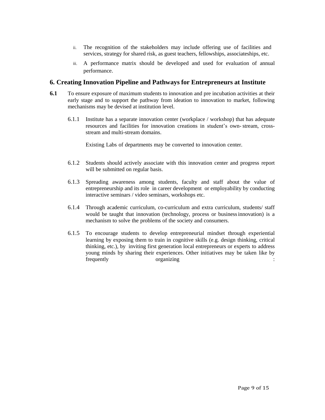- ii. The recognition of the stakeholders may include offering use of facilities and services, strategy for shared risk, as guest teachers, fellowships, associateships, etc.
- iii. A performance matrix should be developed and used for evaluation of annual performance.

## **6. Creating Innovation Pipeline and Pathways for Entrepreneurs at Institute**

- **6.1** To ensure exposure of maximum students to innovation and pre incubation activities at their early stage and to support the pathway from ideation to innovation to market, following mechanisms may be devised at institution level.
	- 6.1.1 Institute has a separate innovation center (workplace / workshop) that has adequate resources and facilities for innovation creations in student's own- stream, crossstream and multi-stream domains.

Existing Labs of departments may be converted to innovation center.

- 6.1.2 Students should actively associate with this innovation center and progress report will be submitted on regular basis.
- 6.1.3 Spreading awareness among students, faculty and staff about the value of entrepreneurship and its role in career development or employability by conducting interactive seminars / video seminars, workshops etc.
- 6.1.4 Through academic curriculum, co-curriculum and extra curriculum, students/ staff would be taught that innovation (technology, process or businessinnovation) is a mechanism to solve the problems of the society and consumers.
- 6.1.5 To encourage students to develop entrepreneurial mindset through experiential learning by exposing them to train in cognitive skills (e.g. design thinking, critical thinking, etc.), by inviting first generation local entrepreneurs or experts to address young minds by sharing their experiences. Other initiatives may be taken like by frequently organizing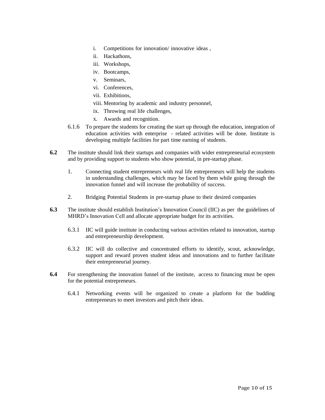- i. Competitions for innovation/ innovative ideas ,
- ii. Hackathons,
- iii. Workshops,
- iv. Bootcamps,
- v. Seminars,
- vi. Conferences,
- vii. Exhibitions,
- viii. Mentoring by academic and industry personnel,
- ix. Throwing real life challenges,
- x. Awards and recognition.
- 6.1.6 To prepare the students for creating the start up through the education, integration of education activities with enterprise - related activities will be done. Institute is developing multiple facilities for part time earning of students.
- **6.2** The institute should link their startups and companies with wider entrepreneurial ecosystem and by providing support to students who show potential, in pre-startup phase.
	- 1. Connecting student entrepreneurs with real life entrepreneurs will help the students in understanding challenges, which may be faced by them while going through the innovation funnel and will increase the probability of success.
	- 2. Bridging Potential Students in pre-startup phase to their desired companies
- **6.3** The institute should establish Institution's Innovation Council (IIC) as per the guidelines of MHRD's Innovation Cell and allocate appropriate budget for its activities.
	- 6.3.1 IIC will guide institute in conducting various activities related to innovation, startup and entrepreneurship development.
	- 6.3.2 IIC will do collective and concentrated efforts to identify, scout, acknowledge, support and reward proven student ideas and innovations and to further facilitate their entrepreneurial journey.
- **6.4** For strengthening the innovation funnel of the institute, access to financing must be open for the potential entrepreneurs.
	- 6.4.1 Networking events will be organized to create a platform for the budding entrepreneurs to meet investors and pitch their ideas.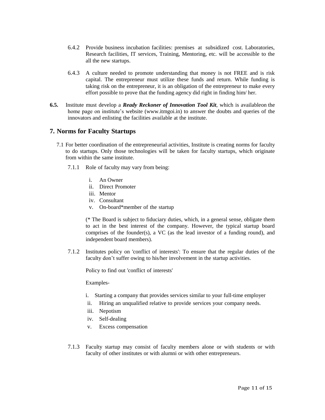- 6.4.2 Provide business incubation facilities: premises at subsidized cost. Laboratories, Research facilities, IT services, Training, Mentoring, etc. will be accessible to the all the new startups.
- 6.4.3 A culture needed to promote understanding that money is not FREE and is risk capital. The entrepreneur must utilize these funds and return. While funding is taking risk on the entrepreneur, it is an obligation of the entrepreneur to make every effort possible to prove that the funding agency did right in finding him/ her.
- **6.5.** Institute must develop a *Ready Reckoner of Innovation Tool Kit*, which is availableon the home page on institute's website (www.itmgoi.in) to answer the doubts and queries of the innovators and enlisting the facilities available at the institute.

### **7. Norms for Faculty Startups**

- 7.1 For better coordination of the entrepreneurial activities, Institute is creating norms for faculty to do startups. Only those technologies will be taken for faculty startups, which originate from within the same institute.
	- 7.1.1 Role of faculty may vary from being:
		- i. An Owner
		- ii. Direct Promoter
		- iii. Mentor
		- iv. Consultant
		- v. On-board\*member of the startup

(\* The Board is subject to fiduciary duties, which, in a general sense, obligate them to act in the best interest of the company. However, the typical startup board comprises of the founder(s), a VC (as the lead investor of a funding round), and independent board members).

7.1.2 Institutes policy on 'conflict of interests': To ensure that the regular duties of the faculty don't suffer owing to his/her involvement in the startup activities.

Policy to find out 'conflict of interests'

Examples-

- i. Starting a company that provides services similar to your full-time employer
- ii. Hiring an unqualified relative to provide services your company needs.
- iii. Nepotism
- iv. Self-dealing
- v. Excess compensation
- 7.1.3 Faculty startup may consist of faculty members alone or with students or with faculty of other institutes or with alumni or with other entrepreneurs.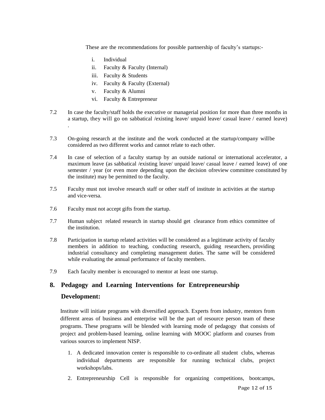These are the recommendations for possible partnership of faculty's startups:-

- i. Individual
- ii. Faculty & Faculty (Internal)
- iii. Faculty & Students
- iv. Faculty & Faculty (External)
- v. Faculty & Alumni
- vi. Faculty & Entrepreneur
- 7.2 In case the faculty/staff holds the executive or managerial position for more than three months in a startup, they will go on sabbatical /existing leave/ unpaid leave/ casual leave / earned leave)
- 7.3 On-going research at the institute and the work conducted at the startup/company willbe considered as two different works and cannot relate to each other.
- 7.4 In case of selection of a faculty startup by an outside national or international accelerator, a maximum leave (as sabbatical /existing leave/ unpaid leave/ casual leave / earned leave) of one semester / year (or even more depending upon the decision ofreview committee constituted by the institute) may be permitted to the faculty.
- 7.5 Faculty must not involve research staff or other staff of institute in activities at the startup and vice-versa.
- 7.6 Faculty must not accept gifts from the startup.
- 7.7 Human subject related research in startup should get clearance from ethics committee of the institution.
- 7.8 Participation in startup related activities will be considered as a legitimate activity of faculty members in addition to teaching, conducting research, guiding researchers, providing industrial consultancy and completing management duties. The same will be considered while evaluating the annual performance of faculty members.
- 7.9 Each faculty member is encouraged to mentor at least one startup.

# **8. Pedagogy and Learning Interventions for Entrepreneurship**

#### **Development:**

.

Institute will initiate programs with diversified approach. Experts from industry, mentors from different areas of business and enterprise will be the part of resource person team of these programs. These programs will be blended with learning mode of pedagogy that consists of project and problem-based learning, online learning with MOOC platform and courses from various sources to implement NISP.

- 1. A dedicated innovation center is responsible to co-ordinate all student clubs, whereas individual departments are responsible for running technical clubs, project workshops/labs.
- 2. Entrepreneurship Cell is responsible for organizing competitions, bootcamps,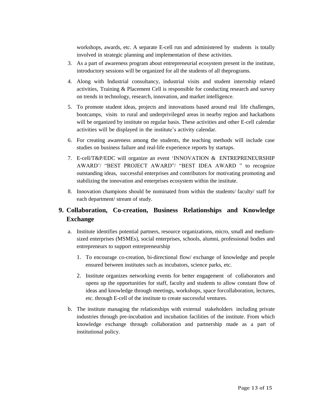workshops, awards, etc. A separate E-cell run and administered by students is totally involved in strategic planning and implementation of these activities.

- 3. As a part of awareness program about entrepreneurial ecosystem present in the institute, introductory sessions will be organized for all the students of all theprograms.
- 4. Along with Industrial consultancy, industrial visits and student internship related activities, Training & Placement Cell is responsible for conducting research and survey on trends in technology, research, innovation, and market intelligence.
- 5. To promote student ideas, projects and innovations based around real life challenges, bootcamps, visits to rural and underprivileged areas in nearby region and hackathons will be organized by institute on regular basis. These activities and other E-cell calendar activities will be displayed in the institute's activity calendar.
- 6. For creating awareness among the students, the teaching methods will include case studies on business failure and real-life experience reports by startups.
- 7. E-cell/T&P/EDC will organize an event 'INNOVATION & ENTREPRENEURSHIP AWARD'/ "BEST PROJECT AWARD"/ "BEST IDEA AWARD " to recognize outstanding ideas, successful enterprises and contributors for motivating promoting and stabilizing the innovation and enterprises ecosystem within the institute.
- 8. Innovation champions should be nominated from within the students/ faculty/ staff for each department/ stream of study.

# **9. Collaboration, Co-creation, Business Relationships and Knowledge Exchange**

- a. Institute identifies potential partners, resource organizations, micro, small and mediumsized enterprises (MSMEs), social enterprises, schools, alumni, professional bodies and entrepreneurs to support entrepreneurship
	- 1. To encourage co-creation, bi-directional flow/ exchange of knowledge and people ensured between institutes such as incubators, science parks, etc.
	- 2. Institute organizes networking events for better engagement of collaborators and opens up the opportunities for staff, faculty and students to allow constant flow of ideas and knowledge through meetings, workshops, space forcollaboration, lectures, etc. through E-cell of the institute to create successful ventures.
- b. The institute managing the relationships with external stakeholders including private industries through pre-incubation and incubation facilities of the institute. From which knowledge exchange through collaboration and partnership made as a part of institutional policy.